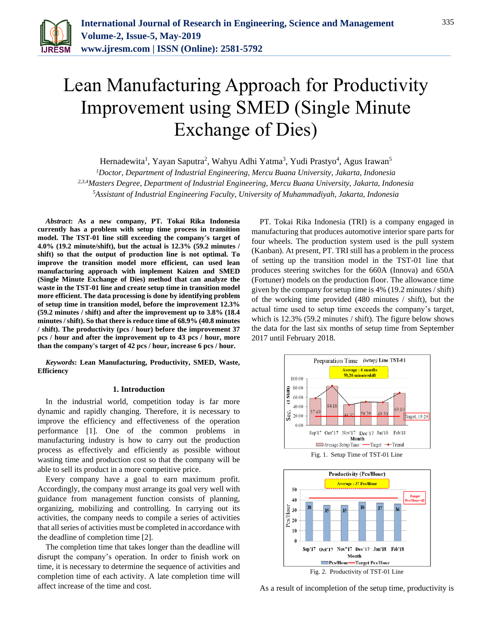

# Lean Manufacturing Approach for Productivity Improvement using SMED (Single Minute Exchange of Dies)

Hernadewita<sup>1</sup>, Yayan Saputra<sup>2</sup>, Wahyu Adhi Yatma<sup>3</sup>, Yudi Prastyo<sup>4</sup>, Agus Irawan<sup>5</sup>

*<sup>1</sup>Doctor, Department of Industrial Engineering, Mercu Buana University, Jakarta, Indonesia 2,3,4Masters Degree, Department of Industrial Engineering, Mercu Buana University, Jakarta, Indonesia <sup>5</sup>Assistant of Industrial Engineering Faculty, University of Muhammadiyah, Jakarta, Indonesia*

*Abstract***: As a new company, PT. Tokai Rika Indonesia currently has a problem with setup time process in transition model. The TST-01 line still exceeding the company's target of 4.0% (19.2 minute/shift), but the actual is 12.3% (59.2 minutes / shift) so that the output of production line is not optimal. To improve the transition model more efficient, can used lean manufacturing approach with implement Kaizen and SMED (Single Minute Exchange of Dies) method that can analyze the waste in the TST-01 line and create setup time in transition model more efficient. The data processing is done by identifying problem of setup time in transition model, before the improvement 12.3% (59.2 minutes / shift) and after the improvement up to 3.8% (18.4 minutes / shift). So that there is reduce time of 68.9% (40.8 minutes / shift). The productivity (pcs / hour) before the improvement 37 pcs / hour and after the improvement up to 43 pcs / hour, more than the company's target of 42 pcs / hour, increase 6 pcs / hour.**

*Keywords***: Lean Manufacturing, Productivity, SMED, Waste, Efficiency**

#### **1. Introduction**

In the industrial world, competition today is far more dynamic and rapidly changing. Therefore, it is necessary to improve the efficiency and effectiveness of the operation performance [1]. One of the common problems in manufacturing industry is how to carry out the production process as effectively and efficiently as possible without wasting time and production cost so that the company will be able to sell its product in a more competitive price.

Every company have a goal to earn maximum profit. Accordingly, the company must arrange its goal very well with guidance from management function consists of planning, organizing, mobilizing and controlling. In carrying out its activities, the company needs to compile a series of activities that all series of activities must be completed in accordance with the deadline of completion time [2].

The completion time that takes longer than the deadline will disrupt the company's operation. In order to finish work on time, it is necessary to determine the sequence of activities and completion time of each activity. A late completion time will affect increase of the time and cost.

PT. Tokai Rika Indonesia (TRI) is a company engaged in manufacturing that produces automotive interior spare parts for four wheels. The production system used is the pull system (Kanban). At present, PT. TRI still has a problem in the process of setting up the transition model in the TST-01 line that produces steering switches for the 660A (Innova) and 650A (Fortuner) models on the production floor. The allowance time given by the company for setup time is 4% (19.2 minutes / shift) of the working time provided (480 minutes / shift), but the actual time used to setup time exceeds the company's target, which is 12.3% (59.2 minutes / shift). The figure below shows the data for the last six months of setup time from September 2017 until February 2018.





As a result of incompletion of the setup time, productivity is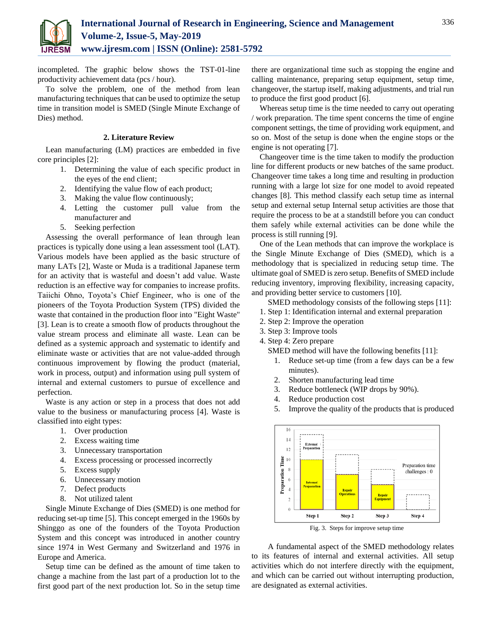

incompleted. The graphic below shows the TST-01-line productivity achievement data (pcs / hour).

To solve the problem, one of the method from lean manufacturing techniques that can be used to optimize the setup time in transition model is SMED (Single Minute Exchange of Dies) method.

## **2. Literature Review**

Lean manufacturing (LM) practices are embedded in five core principles [2]:

- 1. Determining the value of each specific product in the eyes of the end client;
- 2. Identifying the value flow of each product;
- 3. Making the value flow continuously;
- 4. Letting the customer pull value from the manufacturer and
- 5. Seeking perfection

Assessing the overall performance of lean through lean practices is typically done using a lean assessment tool (LAT). Various models have been applied as the basic structure of many LATs [2], Waste or Muda is a traditional Japanese term for an activity that is wasteful and doesn't add value. Waste reduction is an effective way for companies to increase profits. Taiichi Ohno, Toyota's Chief Engineer, who is one of the pioneers of the Toyota Production System (TPS) divided the waste that contained in the production floor into "Eight Waste" [3]. Lean is to create a smooth flow of products throughout the value stream process and eliminate all waste. Lean can be defined as a systemic approach and systematic to identify and eliminate waste or activities that are not value-added through continuous improvement by flowing the product (material, work in process, output) and information using pull system of internal and external customers to pursue of excellence and perfection.

Waste is any action or step in a process that does not add value to the business or manufacturing process [4]. Waste is classified into eight types:

- 1. Over production
- 2. Excess waiting time
- 3. Unnecessary transportation
- 4. Excess processing or processed incorrectly
- 5. Excess supply
- 6. Unnecessary motion
- 7. Defect products
- 8. Not utilized talent

Single Minute Exchange of Dies (SMED) is one method for reducing set-up time [5]. This concept emerged in the 1960s by Shinggo as one of the founders of the Toyota Production System and this concept was introduced in another country since 1974 in West Germany and Switzerland and 1976 in Europe and America.

Setup time can be defined as the amount of time taken to change a machine from the last part of a production lot to the first good part of the next production lot. So in the setup time

there are organizational time such as stopping the engine and calling maintenance, preparing setup equipment, setup time, changeover, the startup itself, making adjustments, and trial run to produce the first good product [6].

Whereas setup time is the time needed to carry out operating / work preparation. The time spent concerns the time of engine component settings, the time of providing work equipment, and so on. Most of the setup is done when the engine stops or the engine is not operating [7].

Changeover time is the time taken to modify the production line for different products or new batches of the same product. Changeover time takes a long time and resulting in production running with a large lot size for one model to avoid repeated changes [8]. This method classify each setup time as internal setup and external setup Internal setup activities are those that require the process to be at a standstill before you can conduct them safely while external activities can be done while the process is still running [9].

One of the Lean methods that can improve the workplace is the Single Minute Exchange of Dies (SMED), which is a methodology that is specialized in reducing setup time. The ultimate goal of SMED is zero setup. Benefits of SMED include reducing inventory, improving flexibility, increasing capacity, and providing better service to customers [10].

SMED methodology consists of the following steps [11]:

- 1. Step 1: Identification internal and external preparation
- 2. Step 2: Improve the operation
- 3. Step 3: Improve tools

4. Step 4: Zero prepare

- SMED method will have the following benefits [11]:
	- 1. Reduce set-up time (from a few days can be a few minutes).
	- 2. Shorten manufacturing lead time
	- 3. Reduce bottleneck (WIP drops by 90%).
	- 4. Reduce production cost
	- 5. Improve the quality of the products that is produced



Fig. 3. Steps for improve setup time

A fundamental aspect of the SMED methodology relates to its features of internal and external activities. All setup activities which do not interfere directly with the equipment, and which can be carried out without interrupting production, are designated as external activities.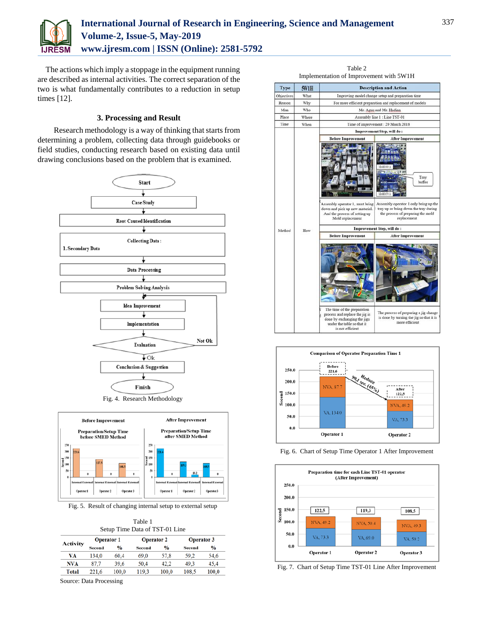

# **International Journal of Research in Engineering, Science and Management Volume-2, Issue-5, May-2019 www.ijresm.com | ISSN (Online): 2581-5792**

The actions which imply a stoppage in the equipment running are described as internal activities. The correct separation of the two is what fundamentally contributes to a reduction in setup times [12].

## **3. Processing and Result**

Research methodology is a way of thinking that starts from determining a problem, collecting data through guidebooks or field studies, conducting research based on existing data until drawing conclusions based on the problem that is examined.





Fig. 5. Result of changing internal setup to external setup

| Table 1                        |  |
|--------------------------------|--|
| Setup Time Data of TST-01 Line |  |

| Activity     | <b>Operator 1</b> |               | <b>Operator 2</b> |               | <b>Operator 3</b> |               |
|--------------|-------------------|---------------|-------------------|---------------|-------------------|---------------|
|              | Second            | $\frac{0}{0}$ | Second            | $\frac{0}{0}$ | <b>Second</b>     | $\frac{0}{0}$ |
| VА           | 134.0             | 60.4          | 69.0              | 57.8          | 59.2              | 54.6          |
| NVA          | 87.7              | 39.6          | 50.4              | 42.2          | 49.3              | 45.4          |
| <b>Total</b> | 221.6             | 100.0         | 119.3             | 100.0         | 108.5             | 100.0         |

Source: Data Processing

|             |       | Implementation of Improvement with 5W1H                                                                                                        |                                                                                                                                                      |  |  |  |
|-------------|-------|------------------------------------------------------------------------------------------------------------------------------------------------|------------------------------------------------------------------------------------------------------------------------------------------------------|--|--|--|
| <b>Type</b> | 5W1H  | <b>Description and Action</b>                                                                                                                  |                                                                                                                                                      |  |  |  |
| Objectives  | What  | Improving model change setup and preparation time                                                                                              |                                                                                                                                                      |  |  |  |
| Reason      | Why   | For more efficient preparation and replacement of models                                                                                       |                                                                                                                                                      |  |  |  |
| Man         | Who   | Mr. Agus and Mr. Hadian                                                                                                                        |                                                                                                                                                      |  |  |  |
| Place       | Where |                                                                                                                                                | Assembly line 1 : Line TST-01                                                                                                                        |  |  |  |
| Time        | When  | Time of improvement : 20 March 2018                                                                                                            |                                                                                                                                                      |  |  |  |
|             |       | Improvement Step, will do:                                                                                                                     |                                                                                                                                                      |  |  |  |
|             |       | <b>Before Improvement</b>                                                                                                                      | <b>After Improvement</b>                                                                                                                             |  |  |  |
|             |       | Assembly operator 1, must bring<br>down and pick up new material.<br>And the process of setting up<br>Mold replacement                         | Tray<br>buffer<br>Assembly operator 1 only bring up the<br>tray up or bring down the tray during<br>the process of preparing the mold<br>replacement |  |  |  |
| Method      | How   |                                                                                                                                                | <b>Improvement Step, will do:</b>                                                                                                                    |  |  |  |
|             |       | <b>Before Improvement</b>                                                                                                                      | <b>After Improvement</b>                                                                                                                             |  |  |  |
|             |       | The time of the preparation<br>process and replace the jig is<br>done by exchanging the jigs<br>under the table so that it<br>is not efficient | The process of preparing a jig change<br>is done by turning the jig so that it is<br>more efficient                                                  |  |  |  |

Table 2







Fig. 7. Chart of Setup Time TST-01 Line After Improvement